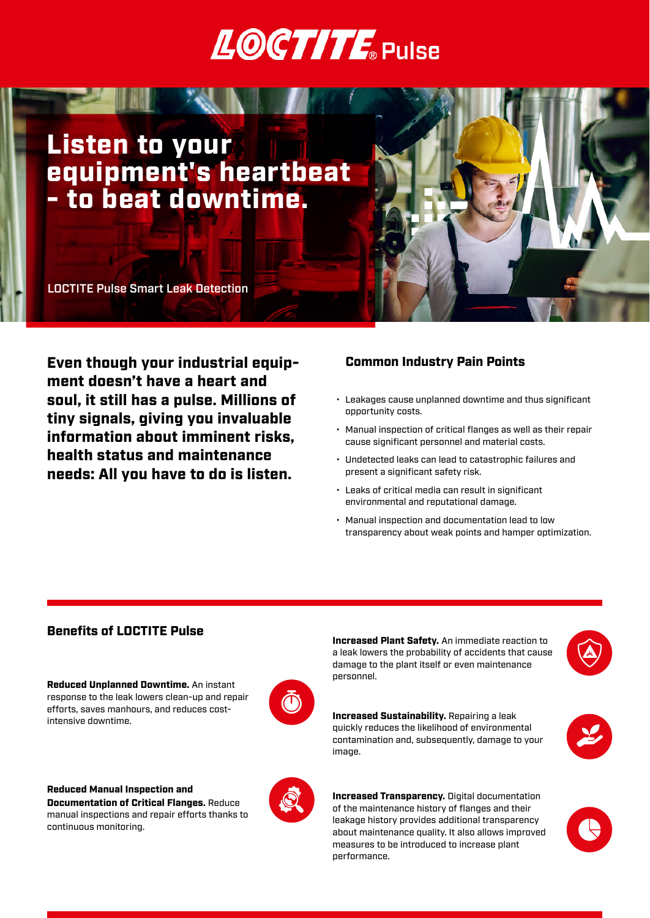## **LOCTITE** Pulse

## Listen to your equipment's heartbeat - to beat downtime.

LOCTITE Pulse Smart Leak Detection

Even though your industrial equipment doesn't have a heart and soul, it still has a pulse. Millions of tiny signals, giving you invaluable information about imminent risks, health status and maintenance needs: All you have to do is listen.

#### Common Industry Pain Points

- Leakages cause unplanned downtime and thus significant opportunity costs.
- Manual inspection of critical flanges as well as their repair cause significant personnel and material costs.
- Undetected leaks can lead to catastrophic failures and present a significant safety risk.
- Leaks of critical media can result in significant environmental and reputational damage.
- Manual inspection and documentation lead to low transparency about weak points and hamper optimization.

#### Benefits of LOCTITE Pulse

Reduced Unplanned Downtime. An instant response to the leak lowers clean-up and repair efforts, saves manhours, and reduces costintensive downtime.



Reduced Manual Inspection and Documentation of Critical Flanges. Reduce manual inspections and repair efforts thanks to continuous monitoring.



Increased Plant Safety. An immediate reaction to a leak lowers the probability of accidents that cause damage to the plant itself or even maintenance personnel.



Increased Sustainability. Repairing a leak quickly reduces the likelihood of environmental contamination and, subsequently, damage to your image.



**Increased Transparency.** Digital documentation of the maintenance history of flanges and their leakage history provides additional transparency about maintenance quality. It also allows improved measures to be introduced to increase plant performance.